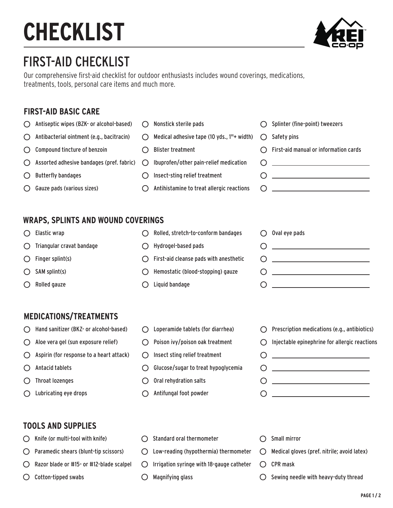# **CHECKLIST**



## FIRST-AID CHECKLIST

Our comprehensive first-aid checklist for outdoor enthusiasts includes wound coverings, medications, treatments, tools, personal care items and much more.

#### **FIRST-AID BASIC CARE**

 $\bigcirc$  Antiseptic wipes (BZK- or alcohol-based)  $\bigcirc$  Nonstick sterile pads  $O$  Splinter (fine-point) tweezers  $\bigcirc$  Antibacterial ointment (e.g., bacitracin)  $\bigcirc$  Medical adhesive tape (10 yds., 1"+ width)  $\bigcap$  Safety pins  $\bigcirc$  Compound tincture of benzoin  $\bigcirc$  Blister treatment  $\bigcap$  First-aid manual or information cards  $\bigcirc$  Assorted adhesive bandages (pref. fabric) Ibuprofen/other pain-relief medication  $\begin{picture}(180,10) \put(0,0){\dashbox{0.5}(10,0){ }} \put(15,0){\circle{10}} \put(15,0){\circle{10}} \put(15,0){\circle{10}} \put(15,0){\circle{10}} \put(15,0){\circle{10}} \put(15,0){\circle{10}} \put(15,0){\circle{10}} \put(15,0){\circle{10}} \put(15,0){\circle{10}} \put(15,0){\circle{10}} \put(15,0){\circle{10}} \put(15,0){\circle{10}} \put(15,0){\circle{10}} \put(15$  $\begin{picture}(180,10) \put(0,0){\dashbox{0.5}(10,0){ }} \put(15,0){\circle{10}} \put(15,0){\circle{10}} \put(15,0){\circle{10}} \put(15,0){\circle{10}} \put(15,0){\circle{10}} \put(15,0){\circle{10}} \put(15,0){\circle{10}} \put(15,0){\circle{10}} \put(15,0){\circle{10}} \put(15,0){\circle{10}} \put(15,0){\circle{10}} \put(15,0){\circle{10}} \put(15,0){\circle{10}} \put(15$  $\bigcirc$  Butterfly bandages  $\bigcirc$  Insect-sting relief treatment  $\bigcirc$  Gauze pads (various sizes)  $\bigcap$  Antihistamine to treat allergic reactions  $\bigcap$ 

#### **WRAPS, SPLINTS AND WOUND COVERINGS**

- ◯ Elastic wrap
- $\bigcirc$  Triangular cravat bandage
- $\bigcap$  Finger splint(s)
- $O$  SAM splint(s)
- ◯ Rolled gauze
- ◯ Rolled, stretch-to-conform bandages
- Hydrogel-based pads
- $\bigcap$  First-aid cleanse pads with anesthetic
- $\bigcirc$  Hemostatic (blood-stopping) gauze
- $\bigcirc$  Liquid bandage

 $O$  Oval eye pads  $\circ$  $\begin{picture}(180,10) \put(0,0){\dashbox{0.5}(10,0){ }} \put(15,0){\circle{10}} \put(15,0){\circle{10}} \put(15,0){\circle{10}} \put(15,0){\circle{10}} \put(15,0){\circle{10}} \put(15,0){\circle{10}} \put(15,0){\circle{10}} \put(15,0){\circle{10}} \put(15,0){\circle{10}} \put(15,0){\circle{10}} \put(15,0){\circle{10}} \put(15,0){\circle{10}} \put(15,0){\circle{10}} \put(15$  $\circ$ 

#### **MEDICATIONS/TREATMENTS**

- Hand sanitizer (BKZ- or alcohol-based)
- $\bigcirc$  Aloe vera gel (sun exposure relief)
- $\bigcap$  Aspirin (for response to a heart attack)
- $\bigcirc$  Antacid tablets
- $\bigcirc$  Throat lozenges
- ◯ Lubricating eye drops
- Loperamide tablets (for diarrhea)
- $\bigcirc$  Poison ivy/poison oak treatment
- $\bigcap$  Insect sting relief treatment
- Glucose/sugar to treat hypoglycemia
- $\bigcirc$  Oral rehydration salts
- Antifungal foot powder
- $\bigcirc$  Prescription medications (e.g., antibiotics)  $\bigcirc$  Injectable epinephrine for allergic reactions  $\bigcirc$ <u> 1999 - Johann Barbara, martin a</u>  $\begin{picture}(180,10) \put(0,0){\line(1,0){10}} \put(10,0){\line(1,0){10}} \put(10,0){\line(1,0){10}} \put(10,0){\line(1,0){10}} \put(10,0){\line(1,0){10}} \put(10,0){\line(1,0){10}} \put(10,0){\line(1,0){10}} \put(10,0){\line(1,0){10}} \put(10,0){\line(1,0){10}} \put(10,0){\line(1,0){10}} \put(10,0){\line(1,0){10}} \put(10,0){\line($
- $\begin{array}{ccc}\n0 & \cdots & \cdots & \cdots\n\end{array}$  $\circ$

#### **TOOLS AND SUPPLIES**

- Knife (or multi-tool with knife) ∩
- $O$  Paramedic shears (blunt-tip scissors)
- ∩ Razor blade or #15- or #12-blade scalpel
- Cotton-tipped swabs O
- Standard oral thermometer  $\bigcap$
- Low-reading (hypothermia) thermometer
- $\bigcirc$  Irrigation syringe with 18-gauge catheter
- Magnifying glass O
- $\bigcap$  Small mirror
- $\bigcirc$  Medical gloves (pref. nitrile; avoid latex)
- $\bigcap$  CPR mask
- $\bigcirc$  Sewing needle with heavy-duty thread